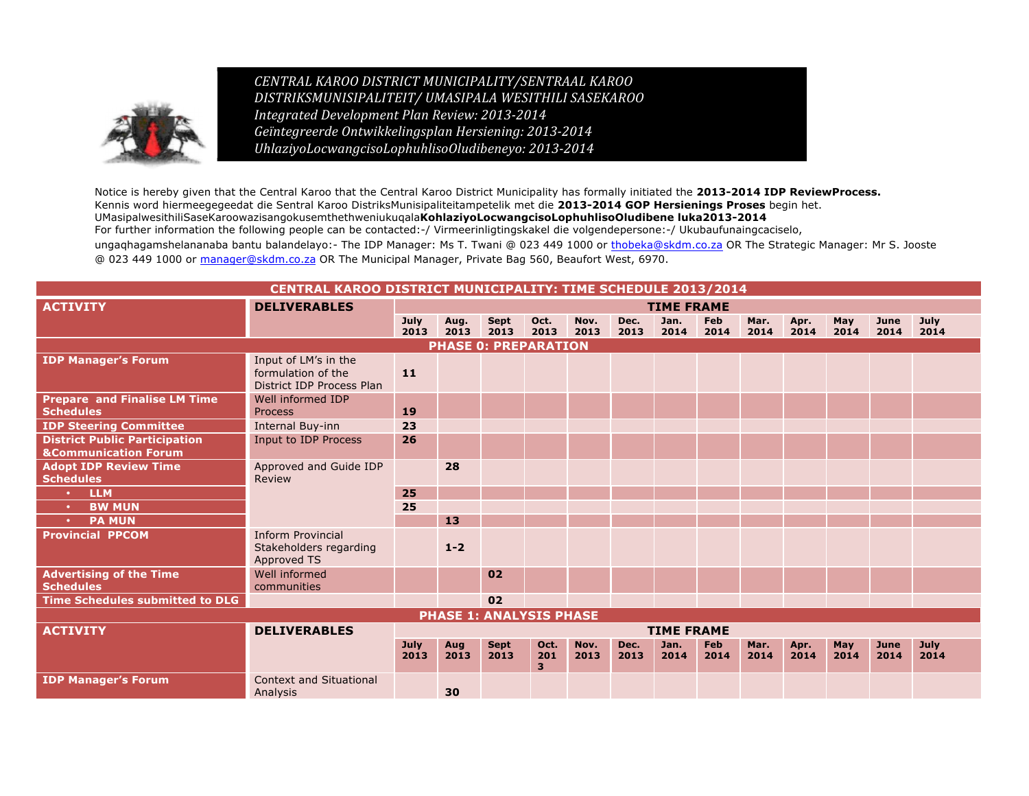

*CENTRAL KAROO DISTRICT MUNICIPALITY/SENTRAAL KAROO DISTRIKSMUNISIPALITEIT/ UMASIPALA WESITHILI SASEKAROO Integrated Development Plan Review: 2013-2014 Geïntegreerde Ontwikkelingsplan Hersiening: 2013-2014 UhlaziyoLocwangcisoLophuhlisoOludibeneyo: 2013-2014*

Notice is hereby given that the Central Karoo that the Central Karoo District Municipality has formally initiated the **2013-2014 IDP ReviewProcess.** Kennis word hiermeegegeedat die Sentral Karoo DistriksMunisipaliteitampetelik met die **2013-2014 GOP Hersienings Proses** begin het. UMasipalwesithiliSaseKaroowazisangokusemthethweniukuqala**KohlaziyoLocwangcisoLophuhlisoOludibene luka2013-2014** For further information the following people can be contacted:-/ Virmeerinligtingskakel die volgendepersone:-/ Ukubaufunaingcaciselo, ungaghagamshelananaba bantu balandelayo:- The IDP Manager: Ms T. Twani @ 023 449 1000 or thobeka@skdm.co.za OR The Strategic Manager: Mr S. Jooste @ 023 449 1000 or manager@skdm.co.za OR The Municipal Manager, Private Bag 560, Beaufort West, 6970.

## **CENTRAL KAROO DISTRICT MUNICIPALITY: TIME SCHEDULE 2013/2014**

| <b>ACTIVITY</b>                                                         | <b>DELIVERABLES</b>                                                     | <b>TIME FRAME</b>   |              |                                |                  |              |              |                   |                    |              |              |             |              |              |
|-------------------------------------------------------------------------|-------------------------------------------------------------------------|---------------------|--------------|--------------------------------|------------------|--------------|--------------|-------------------|--------------------|--------------|--------------|-------------|--------------|--------------|
|                                                                         |                                                                         | <b>July</b><br>2013 | Aug.<br>2013 | Sept<br>2013                   | Oct.<br>2013     | Nov.<br>2013 | Dec.<br>2013 | Jan.<br>2014      | <b>Feb</b><br>2014 | Mar.<br>2014 | Apr.<br>2014 | May<br>2014 | June<br>2014 | July<br>2014 |
|                                                                         |                                                                         |                     |              | <b>PHASE 0: PREPARATION</b>    |                  |              |              |                   |                    |              |              |             |              |              |
| <b>IDP Manager's Forum</b>                                              | Input of LM's in the<br>formulation of the<br>District IDP Process Plan | 11                  |              |                                |                  |              |              |                   |                    |              |              |             |              |              |
| <b>Prepare and Finalise LM Time</b><br><b>Schedules</b>                 | Well informed IDP<br>Process                                            | 19                  |              |                                |                  |              |              |                   |                    |              |              |             |              |              |
| <b>IDP Steering Committee</b>                                           | Internal Buy-inn                                                        | 23                  |              |                                |                  |              |              |                   |                    |              |              |             |              |              |
| <b>District Public Participation</b><br><b>&amp;Communication Forum</b> | Input to IDP Process                                                    | 26                  |              |                                |                  |              |              |                   |                    |              |              |             |              |              |
| <b>Adopt IDP Review Time</b><br><b>Schedules</b>                        | Approved and Guide IDP<br>Review                                        |                     | 28           |                                |                  |              |              |                   |                    |              |              |             |              |              |
| <b>LLM</b>                                                              |                                                                         | 25                  |              |                                |                  |              |              |                   |                    |              |              |             |              |              |
| <b>BW MUN</b>                                                           |                                                                         | 25                  |              |                                |                  |              |              |                   |                    |              |              |             |              |              |
| <b>PA MUN</b>                                                           |                                                                         |                     | 13           |                                |                  |              |              |                   |                    |              |              |             |              |              |
| <b>Provincial PPCOM</b>                                                 | <b>Inform Provincial</b><br>Stakeholders regarding<br>Approved TS       |                     | $1 - 2$      |                                |                  |              |              |                   |                    |              |              |             |              |              |
| <b>Advertising of the Time</b><br><b>Schedules</b>                      | Well informed<br>communities                                            |                     |              | 02                             |                  |              |              |                   |                    |              |              |             |              |              |
| Time Schedules submitted to DLG                                         |                                                                         |                     |              | 02                             |                  |              |              |                   |                    |              |              |             |              |              |
|                                                                         |                                                                         |                     |              | <b>PHASE 1: ANALYSIS PHASE</b> |                  |              |              |                   |                    |              |              |             |              |              |
| <b>ACTIVITY</b>                                                         | <b>DELIVERABLES</b>                                                     |                     |              |                                |                  |              |              | <b>TIME FRAME</b> |                    |              |              |             |              |              |
|                                                                         |                                                                         | <b>July</b><br>2013 | Aug<br>2013  | <b>Sept</b><br>2013            | Oct.<br>201<br>3 | Nov.<br>2013 | Dec.<br>2013 | Jan.<br>2014      | <b>Feb</b><br>2014 | Mar.<br>2014 | Apr.<br>2014 | May<br>2014 | June<br>2014 | July<br>2014 |
| <b>IDP Manager's Forum</b>                                              | <b>Context and Situational</b><br>Analysis                              |                     | 30           |                                |                  |              |              |                   |                    |              |              |             |              |              |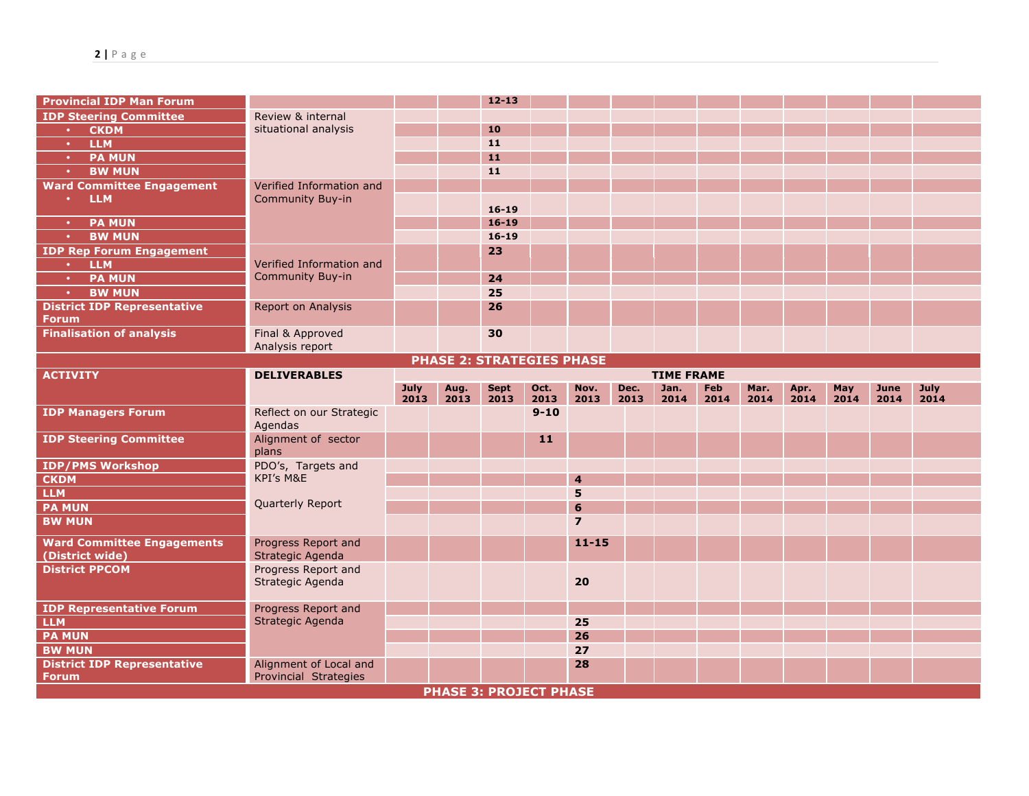| <b>Provincial IDP Man Forum</b>                    |                                                        |             |      | $12 - 13$   |                  |                |      |                   |            |      |      |      |      |      |
|----------------------------------------------------|--------------------------------------------------------|-------------|------|-------------|------------------|----------------|------|-------------------|------------|------|------|------|------|------|
| <b>IDP Steering Committee</b>                      | Review & internal                                      |             |      |             |                  |                |      |                   |            |      |      |      |      |      |
| <b>CKDM</b><br>$\bullet$                           | situational analysis                                   |             |      | 10          |                  |                |      |                   |            |      |      |      |      |      |
| <b>LLM</b><br>$\bullet$                            |                                                        |             |      | 11          |                  |                |      |                   |            |      |      |      |      |      |
| <b>PA MUN</b><br>$\bullet$                         |                                                        |             |      | 11          |                  |                |      |                   |            |      |      |      |      |      |
| <b>BW MUN</b><br>$\bullet$                         |                                                        |             |      | 11          |                  |                |      |                   |            |      |      |      |      |      |
| <b>Ward Committee Engagement</b>                   | Verified Information and                               |             |      |             |                  |                |      |                   |            |      |      |      |      |      |
| <b>LLM</b><br>$\bullet$                            | <b>Community Buy-in</b>                                |             |      |             |                  |                |      |                   |            |      |      |      |      |      |
|                                                    |                                                        |             |      | $16 - 19$   |                  |                |      |                   |            |      |      |      |      |      |
| <b>PA MUN</b><br>$\bullet$                         |                                                        |             |      | $16 - 19$   |                  |                |      |                   |            |      |      |      |      |      |
| <b>BW MUN</b><br>$\bullet$                         |                                                        |             |      | $16 - 19$   |                  |                |      |                   |            |      |      |      |      |      |
| <b>IDP Rep Forum Engagement</b>                    |                                                        |             |      | 23          |                  |                |      |                   |            |      |      |      |      |      |
| <b>LLM</b><br>$\bullet$ .                          | Verified Information and<br><b>Community Buy-in</b>    |             |      |             |                  |                |      |                   |            |      |      |      |      |      |
| <b>PA MUN</b><br>$\bullet$                         |                                                        |             |      | 24          |                  |                |      |                   |            |      |      |      |      |      |
| <b>BW MUN</b><br>$\bullet$                         |                                                        |             |      | 25          |                  |                |      |                   |            |      |      |      |      |      |
| <b>District IDP Representative</b><br>Forum        | <b>Report on Analysis</b>                              |             |      | 26          |                  |                |      |                   |            |      |      |      |      |      |
| <b>Finalisation of analysis</b>                    | Final & Approved                                       |             |      | 30          |                  |                |      |                   |            |      |      |      |      |      |
|                                                    | Analysis report                                        |             |      |             |                  |                |      |                   |            |      |      |      |      |      |
| <b>PHASE 2: STRATEGIES PHASE</b>                   |                                                        |             |      |             |                  |                |      |                   |            |      |      |      |      |      |
| <b>ACTIVITY</b>                                    | <b>DELIVERABLES</b>                                    |             |      |             |                  |                |      | <b>TIME FRAME</b> |            |      |      |      |      |      |
|                                                    |                                                        |             |      |             | Oct.             | Nov.           |      |                   |            | Mar. | Apr. | May  | June | July |
|                                                    |                                                        | <b>July</b> | Aug. | <b>Sept</b> |                  |                | Dec. | Jan.              | <b>Feb</b> |      |      |      |      |      |
|                                                    |                                                        | 2013        | 2013 | 2013        | 2013<br>$9 - 10$ | 2013           | 2013 | 2014              | 2014       | 2014 | 2014 | 2014 | 2014 | 2014 |
| <b>IDP Managers Forum</b>                          | Reflect on our Strategic<br>Agendas                    |             |      |             |                  |                |      |                   |            |      |      |      |      |      |
| <b>IDP Steering Committee</b>                      | Alignment of sector                                    |             |      |             | 11               |                |      |                   |            |      |      |      |      |      |
|                                                    | plans                                                  |             |      |             |                  |                |      |                   |            |      |      |      |      |      |
| <b>IDP/PMS Workshop</b>                            | PDO's, Targets and                                     |             |      |             |                  |                |      |                   |            |      |      |      |      |      |
| <b>CKDM</b>                                        | KPI's M&E                                              |             |      |             |                  | $\overline{4}$ |      |                   |            |      |      |      |      |      |
| <b>LLM</b>                                         |                                                        |             |      |             |                  | 5              |      |                   |            |      |      |      |      |      |
| <b>PA MUN</b>                                      | Quarterly Report                                       |             |      |             |                  | 6              |      |                   |            |      |      |      |      |      |
| <b>BW MUN</b>                                      |                                                        |             |      |             |                  | $\overline{7}$ |      |                   |            |      |      |      |      |      |
| <b>Ward Committee Engagements</b>                  | Progress Report and                                    |             |      |             |                  | $11 - 15$      |      |                   |            |      |      |      |      |      |
| (District wide)                                    | Strategic Agenda                                       |             |      |             |                  |                |      |                   |            |      |      |      |      |      |
| <b>District PPCOM</b>                              | Progress Report and                                    |             |      |             |                  |                |      |                   |            |      |      |      |      |      |
|                                                    | Strategic Agenda                                       |             |      |             |                  | 20             |      |                   |            |      |      |      |      |      |
|                                                    |                                                        |             |      |             |                  |                |      |                   |            |      |      |      |      |      |
| <b>IDP Representative Forum</b>                    | Progress Report and                                    |             |      |             |                  | 25             |      |                   |            |      |      |      |      |      |
| <b>LLM</b>                                         | Strategic Agenda                                       |             |      |             |                  | 26             |      |                   |            |      |      |      |      |      |
| <b>PA MUN</b><br><b>BW MUN</b>                     |                                                        |             |      |             |                  | 27             |      |                   |            |      |      |      |      |      |
|                                                    |                                                        |             |      |             |                  | 28             |      |                   |            |      |      |      |      |      |
| <b>District IDP Representative</b><br><b>Forum</b> | Alignment of Local and<br><b>Provincial Strategies</b> |             |      |             |                  |                |      |                   |            |      |      |      |      |      |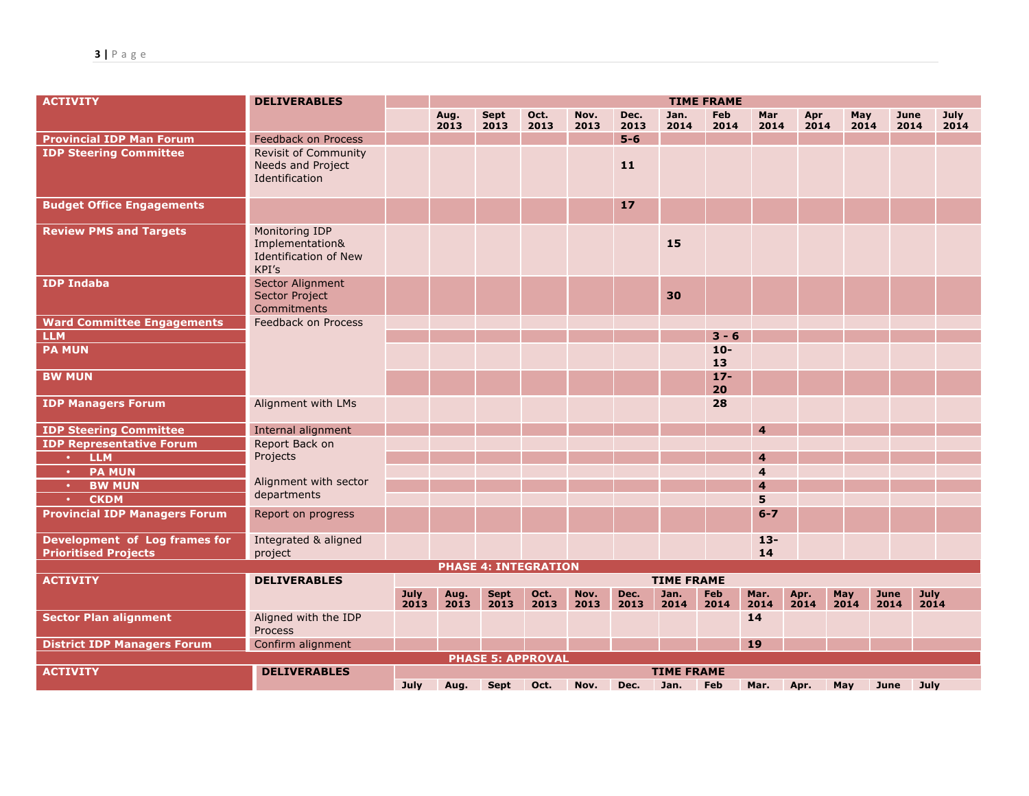| <b>ACTIVITY</b>                                              | <b>DELIVERABLES</b>                                                        | <b>TIME FRAME</b> |              |              |                             |              |              |                   |                    |                    |              |             |              |              |
|--------------------------------------------------------------|----------------------------------------------------------------------------|-------------------|--------------|--------------|-----------------------------|--------------|--------------|-------------------|--------------------|--------------------|--------------|-------------|--------------|--------------|
|                                                              |                                                                            |                   | Aug.<br>2013 | Sept<br>2013 | Oct.<br>2013                | Nov.<br>2013 | Dec.<br>2013 | Jan.<br>2014      | <b>Feb</b><br>2014 | <b>Mar</b><br>2014 | Apr<br>2014  | May<br>2014 | June<br>2014 | July<br>2014 |
| <b>Provincial IDP Man Forum</b>                              | Feedback on Process                                                        |                   |              |              |                             |              | $5-6$        |                   |                    |                    |              |             |              |              |
| <b>IDP Steering Committee</b>                                | <b>Revisit of Community</b><br>Needs and Project<br>Identification         |                   |              |              |                             |              | 11           |                   |                    |                    |              |             |              |              |
| <b>Budget Office Engagements</b>                             |                                                                            |                   |              |              |                             |              | 17           |                   |                    |                    |              |             |              |              |
| <b>Review PMS and Targets</b>                                | Monitoring IDP<br>Implementation&<br><b>Identification of New</b><br>KPI's |                   |              |              |                             |              |              | 15                |                    |                    |              |             |              |              |
| <b>IDP Indaba</b>                                            | Sector Alignment<br><b>Sector Project</b><br>Commitments                   |                   |              |              |                             |              |              | 30                |                    |                    |              |             |              |              |
| <b>Ward Committee Engagements</b>                            | Feedback on Process                                                        |                   |              |              |                             |              |              |                   |                    |                    |              |             |              |              |
| <b>LLM</b>                                                   |                                                                            |                   |              |              |                             |              |              |                   | $3 - 6$            |                    |              |             |              |              |
| <b>PA MUN</b>                                                |                                                                            |                   |              |              |                             |              |              |                   | $10 -$<br>13       |                    |              |             |              |              |
| <b>BW MUN</b>                                                |                                                                            |                   |              |              |                             |              |              |                   | $17 -$<br>20       |                    |              |             |              |              |
| <b>IDP Managers Forum</b>                                    | Alignment with LMs                                                         |                   |              |              |                             |              |              |                   | 28                 |                    |              |             |              |              |
| <b>IDP Steering Committee</b>                                | Internal alignment                                                         |                   |              |              |                             |              |              |                   |                    | 4                  |              |             |              |              |
| <b>IDP Representative Forum</b>                              | Report Back on                                                             |                   |              |              |                             |              |              |                   |                    |                    |              |             |              |              |
| <b>LLM</b><br>$\bullet$ .                                    | Projects                                                                   |                   |              |              |                             |              |              |                   |                    | $\overline{4}$     |              |             |              |              |
| <b>PA MUN</b><br>$\bullet$                                   |                                                                            |                   |              |              |                             |              |              |                   |                    | $\overline{4}$     |              |             |              |              |
| <b>BW MUN</b><br>$\bullet$                                   | Alignment with sector                                                      |                   |              |              |                             |              |              |                   |                    | $\overline{4}$     |              |             |              |              |
| <b>CKDM</b><br>$\bullet$                                     | departments                                                                |                   |              |              |                             |              |              |                   |                    | 5                  |              |             |              |              |
| <b>Provincial IDP Managers Forum</b>                         | Report on progress                                                         |                   |              |              |                             |              |              |                   |                    | $6 - 7$            |              |             |              |              |
| Development of Log frames for<br><b>Prioritised Projects</b> | Integrated & aligned<br>project                                            |                   |              |              |                             |              |              |                   |                    | $13 -$<br>14       |              |             |              |              |
|                                                              |                                                                            |                   |              |              | <b>PHASE 4: INTEGRATION</b> |              |              |                   |                    |                    |              |             |              |              |
| <b>ACTIVITY</b>                                              | <b>DELIVERABLES</b>                                                        |                   |              |              |                             |              |              | <b>TIME FRAME</b> |                    |                    |              |             |              |              |
|                                                              |                                                                            | July<br>2013      | Aug.<br>2013 | Sept<br>2013 | Oct.<br>2013                | Nov.<br>2013 | Dec.<br>2013 | Jan.<br>2014      | <b>Feb</b><br>2014 | Mar.<br>2014       | Apr.<br>2014 | May<br>2014 | June<br>2014 | July<br>2014 |
| <b>Sector Plan alignment</b>                                 | Aligned with the IDP<br><b>Process</b>                                     |                   |              |              |                             |              |              |                   |                    | 14                 |              |             |              |              |
| <b>District IDP Managers Forum</b>                           | Confirm alignment                                                          |                   |              |              |                             |              |              |                   |                    | <b>19</b>          |              |             |              |              |
|                                                              |                                                                            |                   |              |              | <b>PHASE 5: APPROVAL</b>    |              |              |                   |                    |                    |              |             |              |              |
| <b>ACTIVITY</b>                                              | <b>DELIVERABLES</b>                                                        |                   |              |              |                             |              |              | <b>TIME FRAME</b> |                    |                    |              |             |              |              |
|                                                              |                                                                            | July              | Aug.         | Sept         | Oct.                        | Nov.         | Dec.         | Jan.              | Feb                | Mar.               | Apr.         | May         | June         | July         |